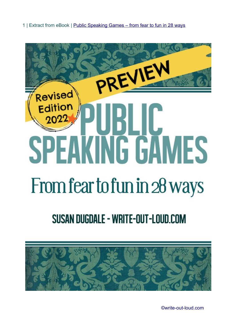1 | Extract from eBook | [Public Speaking Games – from fear to fun in 28 ways](http://www.write-out-loud.com/public-speaking-games-ebook.html)



# SUSAN DUGDALE - WRITE-OUT-LOUD.COM



[©write-out-loud.com](http://www.write-out-loud.com/)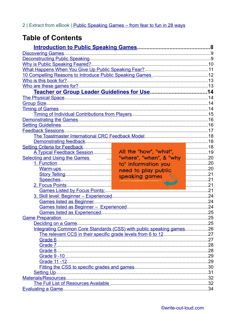# **Table of Contents**

| Demonstrating feedback                                               |                         |              |
|----------------------------------------------------------------------|-------------------------|--------------|
| Setting Criteria for Feedback                                        |                         | . 18         |
| A Typical Feedback Session                                           | All the "how", "what",  | <u>l. 19</u> |
| <b>Selecting and Using the Games</b>                                 | "where", "when", & "why | 20           |
|                                                                      | to" information you     | . 20         |
|                                                                      | need to play public     | . 20         |
|                                                                      | speaking games          | . 21         |
|                                                                      |                         | . 21         |
|                                                                      |                         | . 21         |
|                                                                      |                         |              |
|                                                                      |                         |              |
|                                                                      |                         |              |
|                                                                      |                         |              |
|                                                                      |                         |              |
|                                                                      |                         |              |
|                                                                      |                         |              |
| Integrating Common Core Standards (CSS) with public speaking games26 |                         |              |
|                                                                      |                         |              |
|                                                                      |                         |              |
|                                                                      |                         |              |
|                                                                      |                         |              |
|                                                                      |                         |              |
|                                                                      |                         |              |
|                                                                      |                         |              |
|                                                                      |                         |              |
|                                                                      |                         |              |
|                                                                      |                         |              |
|                                                                      |                         |              |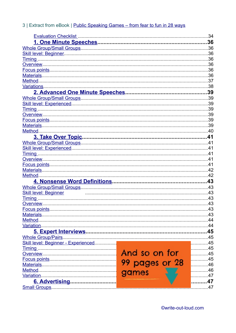# 3 | Extract from eBook | Public Speaking Games - from fear to fun in 28 ways

<span id="page-2-2"></span><span id="page-2-1"></span><span id="page-2-0"></span>

|                                                  |                | .34  |
|--------------------------------------------------|----------------|------|
|                                                  |                | 36   |
|                                                  |                |      |
|                                                  |                |      |
|                                                  |                |      |
|                                                  |                |      |
|                                                  |                |      |
|                                                  |                |      |
|                                                  |                |      |
|                                                  |                |      |
|                                                  |                |      |
|                                                  |                |      |
|                                                  |                |      |
|                                                  |                |      |
|                                                  |                |      |
|                                                  |                |      |
|                                                  |                |      |
|                                                  |                |      |
|                                                  |                |      |
|                                                  |                |      |
|                                                  |                |      |
|                                                  |                |      |
|                                                  |                |      |
|                                                  |                |      |
|                                                  |                |      |
| Method.                                          |                |      |
|                                                  |                |      |
|                                                  |                |      |
| <b>Skill level: Beginner</b>                     |                |      |
|                                                  |                |      |
| Overview.                                        |                | .43  |
| Focus points.                                    |                | .43  |
|                                                  |                |      |
| Method.                                          |                |      |
| Variation.                                       |                |      |
|                                                  |                |      |
|                                                  |                | .45  |
| Skill level: Beginner - Experienced              |                | . 45 |
|                                                  |                | . 45 |
| Timing Manuscript Coverview Manuscript Coverview |                | . 45 |
|                                                  |                | . 45 |
|                                                  | 99 pages or 28 | . 46 |
| Method.<br>games                                 |                | .46  |
|                                                  |                | 47   |
| <u>6. Advertising</u>                            |                | 47   |
|                                                  |                | .47  |
|                                                  |                |      |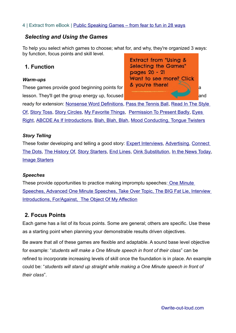#### 4 | Extract from eBook | [Public Speaking Games – from fear to fun in 28 ways](http://www.write-out-loud.com/public-speaking-games-ebook.html)

# *Selecting and Using the Games*

To help you select which games to choose; what for, and why, they're organized 3 ways: by function, focus points and skill level.

# <span id="page-3-4"></span>**1. Function**

#### <span id="page-3-3"></span>*Warm-ups*

These games provide good beginning points for  $\alpha$  you're there! lesson. They'll get the group energy up, focused and



ready for extension: Nonsense Word Definitions, [Pass the Tennis Ball](#page-2-0), [Read In The Style](#page-2-0)  [Of](#page-2-0), [Story Toss, Story Circles,](#page-2-0) [My Favorite Things](#page-2-1), [Permission To Present Badly](#page-6-0), Eyes Right, [ABCDE As If Introductions](#page-2-0), [Blah, Blah, Blah,](#page-2-0) Mood Conducting, [Tongue Twisters](#page-2-0)

#### <span id="page-3-2"></span>*Story Telling*

These foster developing and telling a good story: [Expert Interviews](#page-2-2), [Advertising](#page-2-1), [Connect](#page-2-0)  [The Dots](#page-2-0), [The History Of](#page-2-0), [Story Starters](#page-2-0), [End Lines, Oink Substitution,](#page-2-0) [In the News Today](#page-6-0), [Image Starters](#page-2-0)

#### <span id="page-3-1"></span>*Speeches*

These provide opportunities to practice making impromptu speeches: [One Minute](#page-2-0)  Speeches, Advanced One Minute [Speeches](#page-2-0), Take Over Topic, The BIG Fat Lie, Interview Introductions, [For/Against](#page-2-0), [The Object Of My Affection](#page-2-0)

## <span id="page-3-0"></span>**2. Focus Points**

Each game has a list of its focus points. Some are general; others are specific. Use these as a starting point when planning your demonstrable results driven objectives.

Be aware that all of these games are flexible and adaptable. A sound base level objective for example: "*students will make a One Minute speech in front of their class*" can be refined to incorporate increasing levels of skill once the foundation is in place. An example could be: "*students will stand up straight while making a One Minute speech in front of their class*".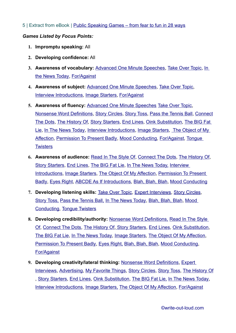#### 5 | Extract from eBook | [Public Speaking Games – from fear to fun in 28 ways](http://www.write-out-loud.com/public-speaking-games-ebook.html)

#### *Games Listed by Focus Points:*

- **1. Impromptu speaking:** All
- **2. Developing confidence:** All
- **3. Awareness of vocabulary:** [Advanced One Minute Speeches](#page-2-0), [Take Over Topic,](#page-2-0) [In](#page-6-0)  [the News Today](#page-6-0), [For/Against](#page-2-0)
- **4. Awareness of subject:** [Advanced One Minute Speeches](#page-2-0), [Take Over Topic](#page-2-0), [Interview Introductions](#page-6-0), [Image Starters](#page-2-0), [For/Against](#page-2-0)
- **5. Awareness of fluency:** [Advanced One Minute Speeches](#page-2-0) [Take Over Topic](#page-2-0), [Nonsense Word Definitions](#page-2-0), [Story Circles, Story Toss](#page-2-0), [Pass the Tennis Ball, Connect](#page-2-0) [The Dots, The History Of, Story Starters, End Lines, Oink Substitution](#page-2-0), [The BIG Fat](#page-2-0)  [Lie](#page-2-0), [In The News Today](#page-6-0), [Interview Introductions,](#page-6-0) [Image Starters](#page-2-0), [The Object of My](#page-2-0)  [Affection](#page-2-0), [Permission To Present Badly](#page-6-0), [Mood Conducting](#page-6-0), [For/Against](#page-2-0), [Tongue](#page-2-0)  **[Twisters](#page-2-0)**
- **6. Awareness of audience:** [Read In The Style Of](#page-2-0), [Connect The Dots, The History Of,](#page-2-0) [Story Starters](#page-2-0), [End Lines](#page-2-0), [The BIG Fat Lie,](#page-2-0) [In The News Today,](#page-6-0) [Interview](#page-6-0)  [Introductions,](#page-6-0) [Image Starters](#page-2-0), [The Object Of My Affection,](#page-2-0) Permission To Present [Badly](#page-6-0), [Eyes Right,](#page-6-0) [ABCDE As If Introductions](#page-2-0), [Blah, Blah, Blah](#page-2-0), [Mood Conducting](#page-6-0)
- **7. Developing listening skills:** [Take Over Topic](#page-2-0), [Expert Interviews,](#page-2-2) [Story Circles](#page-2-0), [Story Toss,](#page-2-0) [Pass the Tennis Ball,](#page-2-0) [In The News Today](#page-6-0), [Blah, Blah, Blah](#page-2-0), [Mood](#page-6-0)  [Conducting,](#page-6-0) [Tongue Twisters](#page-2-0)
- **8. Developing credibility/authority:** [Nonsense Word Definitions](#page-2-0), [Read In The Style](#page-2-0)  [Of, Connect The Dots, The History Of, Story Starters, End Lines, Oink Substitution](#page-2-0), [The BIG Fat Lie,](#page-2-0) [In The News Today,](#page-6-0) [Image Starters](#page-2-0), [The Object Of My Affection,](#page-2-0) [Permission To Present Badly](#page-6-0), [Eyes Right,](#page-6-0) [Blah, Blah, Blah](#page-2-0), [Mood Conducting,](#page-6-0) [For/Against](#page-2-0)
- **9. Developing creativity/lateral thinking:** [Nonsense Word Definitions](#page-2-0), [Expert](#page-2-2)  [Interviews](#page-2-2), [Advertising](#page-2-1), [My Favorite Things,](#page-2-1) [Story Circles](#page-2-0), [Story Toss, The History Of](#page-2-0) , [Story Starters](#page-2-0), [End Lines](#page-2-0), [Oink Substitution](#page-2-0), [The BIG Fat Lie,](#page-2-0) [In The News Today,](#page-6-0) [Interview Introductions](#page-6-0), [Image Starters,](#page-2-0) [The Object Of My Affection](#page-2-0), [For/Against](#page-2-0)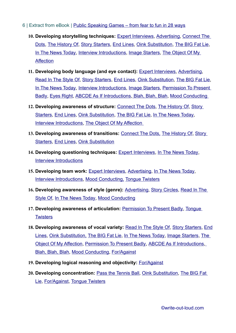- 6 | Extract from eBook | [Public Speaking Games from fear to fun in 28 ways](http://www.write-out-loud.com/public-speaking-games-ebook.html)
	- **10. Developing storytelling techniques:** [Expert Interviews,](#page-2-2) [Advertising,](#page-2-1) [Connect The](#page-2-0)  [Dots, The History Of, Story Starters, End Lines, Oink Substitution](#page-2-0), [The BIG Fat Lie](#page-2-0), [In The News Today](#page-6-0), [Interview Introductions](#page-6-0), [Image Starters](#page-2-0), The Object Of My **[Affection](#page-2-0)**
	- **11. Developing body language (and eye contact):** [Expert Interviews](#page-2-2), [Advertising](#page-2-1), [Read In The Style Of, Story Starters, End Lines, Oink Substitution](#page-2-0), [The BIG Fat Lie,](#page-2-0) [In The News Today](#page-6-0), [Interview Introductions](#page-6-0), [Image Starters](#page-2-0), Permission To Present [Badly](#page-6-0), [Eyes Right,](#page-6-0) [ABCDE As If Introductions](#page-2-0), [Blah, Blah, Blah](#page-2-0), [Mood Conducting](#page-6-0)
	- **12. Developing awareness of structure:** [Connect The Dots](#page-2-0), [The History Of](#page-2-0), [Story](#page-2-0)  [Starters](#page-2-0), [End Lines](#page-2-0), [Oink Substitution](#page-2-0), [The BIG Fat Lie,](#page-2-0) [In The News Today,](#page-6-0) [Interview Introductions](#page-6-0), The Object Of My Affection
	- **13. Developing awareness of transitions:** [Connect The Dots,](#page-2-0) [The History Of, Story](#page-2-0)  [Starters](#page-2-0), [End Lines](#page-2-0), [Oink Substitution](#page-2-0)
	- **14. Developing questioning techniques:** [Expert Interviews](#page-2-2), [In The News Today](#page-6-0), [Interview Introductions](#page-6-0)
	- **15. Developing team work:** [Expert Interviews,](#page-2-2) [Advertising,](#page-2-1) [In The News Today,](#page-6-0) [Interview Introductions](#page-6-0), [Mood Conducting,](#page-6-0) [Tongue Twisters](#page-2-0)
	- **16. Developing awareness of style (genre):** [Advertising](#page-2-1), [Story Circles](#page-2-0), [Read In The](#page-2-0)  [Style Of,](#page-2-0) [In The News Today, Mood Conducting](#page-6-0)
	- **17. Developing awareness of articulation:** [Permission To Present Badly,](#page-6-0) [Tongue](#page-2-0)  **[Twisters](#page-2-0)**
	- **18. Developing awareness of vocal variety:** [Read In The Style Of](#page-2-0), [Story Starters](#page-2-0), [End](#page-2-0) [Lines, Oink Substitution,](#page-2-0) [The BIG Fat Lie](#page-2-0), [In The News Today](#page-6-0), [Image Starters,](#page-2-0) T[he](#page-2-0)  [Object Of My Affection](#page-2-0), [Permission To Present Badly](#page-6-0), [ABCDE As If Introductions,](#page-2-0) [Blah, Blah, Blah](#page-2-0), [Mood Conducting](#page-6-0), [For/Against](#page-2-0)
	- **19. Developing logical reasoning and objectivity:** [For/Against](#page-2-0)
	- **20. Developing concentration:** [Pass the Tennis Ball, Oink Substitution](#page-2-0), [The BIG Fat](#page-2-0)  [Lie](#page-2-0), [For/Against](#page-2-0), [Tongue Twisters](#page-2-0)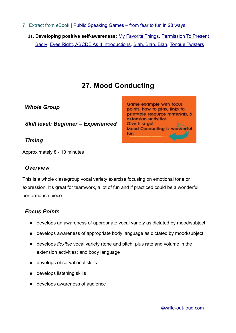- 7 | Extract from eBook | [Public Speaking Games from fear to fun in 28 ways](http://www.write-out-loud.com/public-speaking-games-ebook.html)
	- **21. Developing positive self-awareness:** [My Favorite Things](#page-2-1), [Permission To Present](#page-6-0)  [Badly](#page-6-0), [Eyes Right,](#page-6-0) [ABCDE As If Introductions, Blah, Blah, Blah, Tongue Twisters](#page-2-0)

# **27. Mood Conducting**

<span id="page-6-0"></span>*Whole Group*

*Skill level: Beginner – Experienced* 

*Timing* 

Approximately 8 - 10 minutes

# *Overview*

This is a whole class/group vocal variety exercise focusing on emotional tone or expression. It's great for teamwork, a lot of fun and if practiced could be a wonderful performance piece.

# *Focus Points*

- develops an awareness of appropriate vocal variety as dictated by mood/subject
- develops awareness of appropriate body language as dictated by mood/subject
- develops *flexible* vocal variety (tone and pitch, plus rate and volume in the extension activities) and body language
- develops observational skills
- develops listening skills
- **develops awareness of audience**

[©write-out-loud.com](http://www.write-out-loud.com/)

**Game example with focus** points, how to play, links to printable resource materials, & extension activities. Give it a go! **Mood Conducting is wonderful** fun.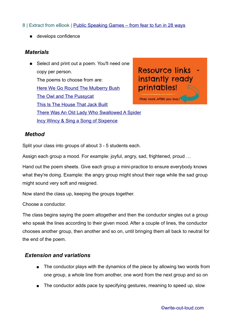#### 8 | Extract from eBook | [Public Speaking Games – from fear to fun in 28 ways](http://www.write-out-loud.com/public-speaking-games-ebook.html)

**develops confidence** 

### *Materials*

■ Select and print out a poem. You'll need one copy per person. The poems to choose from are: [Here We Go Round The Mulberry Bush](http://www.write-out-loud.com/support-files/eyes-right-here-we-go-round-the-mulberry-bush1.pdf) [The Owl and The Pussycat](http://www.write-out-loud.com/support-files/eyes-right-the-owl-and-the-pussycat1.pdf) [This Is The House That Jack Built](http://www.write-out-loud.com/support-files/eyes-right-this-is-the-house-that-jack-built1.pdf) [There Was An Old Lady Who Swallowed A Spider](http://www.write-out-loud.com/support-files/eyes-right-there-was-an-old-lady-who-swallowed-a-fly1.pdf) [Incy Wincy & Sing a Song of Sixpence](http://www.write-out-loud.com/support-files/eyes-right-incy-wincy-spider-sing-a-song-of-sixpence1.pdf)

Resource links instantly ready printables!

(They work AFTER you buy.)

#### *Method*

Split your class into groups of about 3 - 5 students each.

Assign each group a mood. For example: joyful, angry, sad, frightened, proud …

Hand out the poem sheets. Give each group a mini-practice to ensure everybody knows what they're doing. Example: the angry group might shout their rage while the sad group might sound very soft and resigned.

Now stand the class up, keeping the groups together.

Choose a conductor.

The class begins saying the poem altogether and then the conductor singles out a group who speak the lines according to their given mood. After a couple of lines, the conductor chooses another group, then another and so on, until bringing them all back to neutral for the end of the poem.

#### *Extension and variations*

- The conductor plays with the dynamics of the piece by allowing two words from one group, a whole line from another, one word from the next group and so on
- The conductor adds pace by specifying gestures, meaning to speed up, slow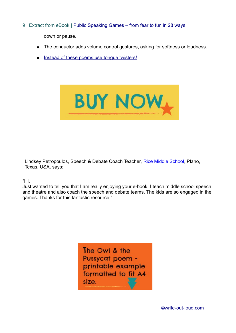9 | Extract from eBook | [Public Speaking Games – from fear to fun in 28 ways](http://www.write-out-loud.com/public-speaking-games-ebook.html)

down or pause.

- The conductor adds volume control gestures, asking for softness or loudness.
- **Instead of these poems use [tongue twisters](http://www.write-out-loud.com/support-files/tongue-twisters.pdf)!**



Lindsey Petropoulos, Speech & Debate Coach Teacher, [Rice Middle School,](https://sites.google.com/a/pisd.edu/rms-speech-and-debate/home) Plano, Texas, USA, says:

"Hi,

Just wanted to tell you that I am really enjoying your e-book. I teach middle school speech and theatre and also coach the speech and debate teams. The kids are so engaged in the games. Thanks for this fantastic resource!"

> The Owl & the Pussycat poem printable example formatted to fit A4 size.

> > [©write-out-loud.com](http://www.write-out-loud.com/)